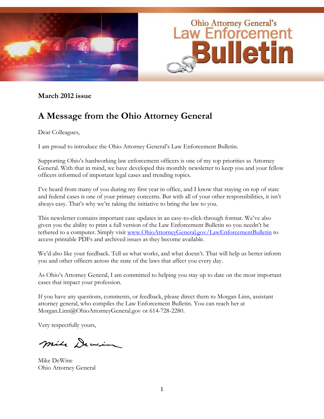

**March 2012 issue**

# **A Message from the Ohio Attorney General**

Dear Colleagues,

I am proud to introduce the Ohio Attorney General's Law Enforcement Bulletin.

Supporting Ohio's hardworking law enforcement officers is one of my top priorities as Attorney General. With that in mind, we have developed this monthly newsletter to keep you and your fellow officers informed of important legal cases and trending topics.

I've heard from many of you during my first year in office, and I know that staying on top of state and federal cases is one of your primary concerns. But with all of your other responsibilities, it isn't always easy. That's why we're taking the initiative to bring the law to you.

This newsletter contains important case updates in an easy-to-click-through format. We've also given you the ability to print a full version of the Law Enforcement Bulletin so you needn't be tethered to a computer. Simply visit [www.OhioAttorneyGeneral.gov/LawEnforcementBulletin](http://www.ohioattorneygeneral.gov/LawEnforcementBulletin) to access printable PDFs and archived issues as they become available.

We'd also like your feedback. Tell us what works, and what doesn't. That will help us better inform you and other officers across the state of the laws that affect you every day.

As Ohio's Attorney General, I am committed to helping you stay up to date on the most important cases that impact your profession.

If you have any questions, comments, or feedback, please direct them to Morgan Linn, assistant attorney general, who compiles the Law Enforcement Bulletin. You can reach her at Morgan.Linn@OhioAttorneyGeneral.gov or 614-728-2280.

Very respectfully yours,

mile Dewin

Mike DeWine Ohio Attorney General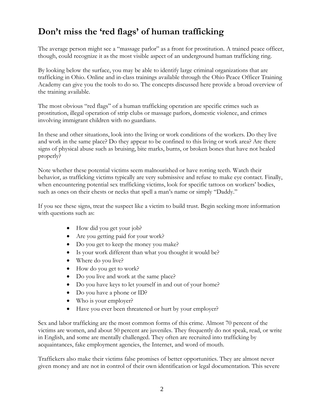## **Don't miss the 'red flags' of human trafficking**

The average person might see a "massage parlor" as a front for prostitution. A trained peace officer, though, could recognize it as the most visible aspect of an underground human trafficking ring.

By looking below the surface, you may be able to identify large criminal organizations that are trafficking in Ohio. Online and in-class trainings available through the Ohio Peace Officer Training Academy can give you the tools to do so. The concepts discussed here provide a broad overview of the training available.

The most obvious "red flags" of a human trafficking operation are specific crimes such as prostitution, illegal operation of strip clubs or massage parlors, domestic violence, and crimes involving immigrant children with no guardians.

In these and other situations, look into the living or work conditions of the workers. Do they live and work in the same place? Do they appear to be confined to this living or work area? Are there signs of physical abuse such as bruising, bite marks, burns, or broken bones that have not healed properly?

Note whether these potential victims seem malnourished or have rotting teeth. Watch their behavior, as trafficking victims typically are very submissive and refuse to make eye contact. Finally, when encountering potential sex trafficking victims, look for specific tattoos on workers' bodies, such as ones on their chests or necks that spell a man's name or simply "Daddy."

If you see these signs, treat the suspect like a victim to build trust. Begin seeking more information with questions such as:

- How did you get your job?
- Are you getting paid for your work?
- Do you get to keep the money you make?
- Is your work different than what you thought it would be?
- Where do you live?
- How do you get to work?
- Do you live and work at the same place?
- Do you have keys to let yourself in and out of your home?
- Do you have a phone or ID?
- Who is your employer?
- Have you ever been threatened or hurt by your employer?

Sex and labor trafficking are the most common forms of this crime. Almost 70 percent of the victims are women, and about 50 percent are juveniles. They frequently do not speak, read, or write in English, and some are mentally challenged. They often are recruited into trafficking by acquaintances, fake employment agencies, the Internet, and word of mouth.

Traffickers also make their victims false promises of better opportunities. They are almost never given money and are not in control of their own identification or legal documentation. This severe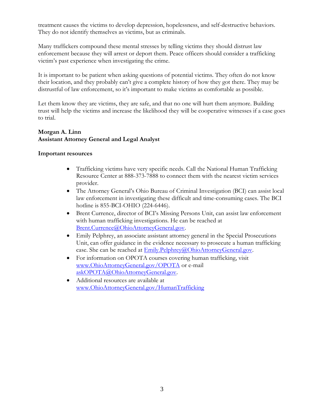treatment causes the victims to develop depression, hopelessness, and self-destructive behaviors. They do not identify themselves as victims, but as criminals.

Many traffickers compound these mental stresses by telling victims they should distrust law enforcement because they will arrest or deport them. Peace officers should consider a trafficking victim's past experience when investigating the crime.

It is important to be patient when asking questions of potential victims. They often do not know their location, and they probably can't give a complete history of how they got there. They may be distrustful of law enforcement, so it's important to make victims as comfortable as possible.

Let them know they are victims, they are safe, and that no one will hurt them anymore. Building trust will help the victims and increase the likelihood they will be cooperative witnesses if a case goes to trial.

#### **Morgan A. Linn Assistant Attorney General and Legal Analyst**

#### **Important resources**

- Trafficking victims have very specific needs. Call the National Human Trafficking Resource Center at 888-373-7888 to connect them with the nearest victim services provider.
- The Attorney General's Ohio Bureau of Criminal Investigation (BCI) can assist local law enforcement in investigating these difficult and time-consuming cases. The BCI hotline is 855-BCI-OHIO (224-6446).
- Brent Currence, director of BCI's Missing Persons Unit, can assist law enforcement with human trafficking investigations. He can be reached at [Brent.Currence@OhioAttorneyGeneral.gov.](mailto:Brent.Currence@OhioAttorneyGeneral.gov)
- Emily Pelphrey, an associate assistant attorney general in the Special Prosecutions Unit, can offer guidance in the evidence necessary to prosecute a human trafficking case. She can be reached at [Emily.Pelphrey@OhioAttorneyGeneral.gov.](mailto:Emily.Pelphrey@OhioAttorneyGeneral.gov)
- For information on OPOTA courses covering human trafficking, visit [www.OhioAttorneyGeneral.gov/OPOTA](http://www.ohioattorneygeneral.gov/OPOTA) or e-mail [askOPOTA@OhioAttorneyGeneral.gov.](mailto:askOPOTA@OhioAttorneyGeneral.gov)
- Additional resources are available at [www.OhioAttorneyGeneral.gov/HumanTrafficking](http://www.ohioattorneygeneral.gov/HumanTrafficking)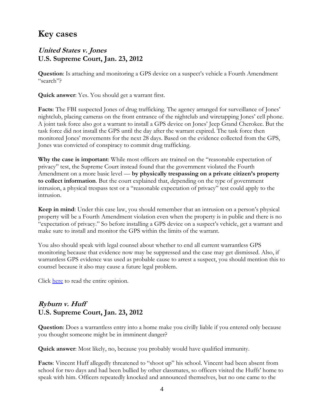## **Key cases**

#### **United States v. Jones U.S. Supreme Court, Jan. 23, 2012**

**Question**: Is attaching and monitoring a GPS device on a suspect's vehicle a Fourth Amendment "search"?

**Quick answer**: Yes. You should get a warrant first.

**Facts**: The FBI suspected Jones of drug trafficking. The agency arranged for surveillance of Jones' nightclub, placing cameras on the front entrance of the nightclub and wiretapping Jones' cell phone. A joint task force also got a warrant to install a GPS device on Jones' Jeep Grand Cherokee. But the task force did not install the GPS until the day after the warrant expired. The task force then monitored Jones' movements for the next 28 days. Based on the evidence collected from the GPS, Jones was convicted of conspiracy to commit drug trafficking.

**Why the case is important**: While most officers are trained on the "reasonable expectation of privacy" test, the Supreme Court instead found that the government violated the Fourth Amendment on a more basic level — **by physically trespassing on a private citizen's property to collect information**. But the court explained that, depending on the type of government intrusion, a physical trespass test or a "reasonable expectation of privacy" test could apply to the intrusion.

**Keep in mind**: Under this case law, you should remember that an intrusion on a person's physical property will be a Fourth Amendment violation even when the property is in public and there is no "expectation of privacy." So before installing a GPS device on a suspect's vehicle, get a warrant and make sure to install and monitor the GPS within the limits of the warrant.

You also should speak with legal counsel about whether to end all current warrantless GPS monitoring because that evidence now may be suppressed and the case may get dismissed. Also, if warrantless GPS evidence was used as probable cause to arrest a suspect, you should mention this to counsel because it also may cause a future legal problem.

Click [here](http://www.supremecourt.gov/opinions/11pdf/10-1259.pdf) to read the entire opinion.

### **Ryburn v. Huff U.S. Supreme Court, Jan. 23, 2012**

**Question**: Does a warrantless entry into a home make you civilly liable if you entered only because you thought someone might be in imminent danger?

**Quick answer**: Most likely, no, because you probably would have qualified immunity.

**Facts**: Vincent Huff allegedly threatened to "shoot up" his school. Vincent had been absent from school for two days and had been bullied by other classmates, so officers visited the Huffs' home to speak with him. Officers repeatedly knocked and announced themselves, but no one came to the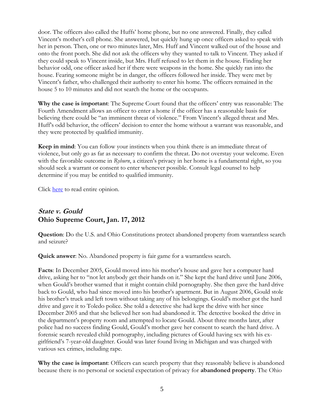door. The officers also called the Huffs' home phone, but no one answered. Finally, they called Vincent's mother's cell phone. She answered, but quickly hung up once officers asked to speak with her in person. Then, one or two minutes later, Mrs. Huff and Vincent walked out of the house and onto the front porch. She did not ask the officers why they wanted to talk to Vincent. They asked if they could speak to Vincent inside, but Mrs. Huff refused to let them in the house. Finding her behavior odd, one officer asked her if there were weapons in the home. She quickly ran into the house. Fearing someone might be in danger, the officers followed her inside. They were met by Vincent's father, who challenged their authority to enter his home. The officers remained in the house 5 to 10 minutes and did not search the home or the occupants.

**Why the case is important**: The Supreme Court found that the officers' entry was reasonable: The Fourth Amendment allows an officer to enter a home if the officer has a reasonable basis for believing there could be "an imminent threat of violence." From Vincent's alleged threat and Mrs. Huff's odd behavior, the officers' decision to enter the home without a warrant was reasonable, and they were protected by qualified immunity.

**Keep in mind**: You can follow your instincts when you think there is an immediate threat of violence, but only go as far as necessary to confirm the threat. Do not overstay your welcome. Even with the favorable outcome in *Ryburn*, a citizen's privacy in her home is a fundamental right, so you should seek a warrant or consent to enter whenever possible. Consult legal counsel to help determine if you may be entitled to qualified immunity.

Click [here](http://www.supremecourt.gov/opinions/11pdf/11-208.pdf) to read entire opinion.

### **State v. Gould Ohio Supreme Court, Jan. 17, 2012**

**Question**: Do the U.S. and Ohio Constitutions protect abandoned property from warrantless search and seizure?

**Quick answer**: No. Abandoned property is fair game for a warrantless search.

**Facts**: In December 2005, Gould moved into his mother's house and gave her a computer hard drive, asking her to "not let anybody get their hands on it." She kept the hard drive until June 2006, when Gould's brother warned that it might contain child pornography. She then gave the hard drive back to Gould, who had since moved into his brother's apartment. But in August 2006, Gould stole his brother's truck and left town without taking any of his belongings. Gould's mother got the hard drive and gave it to Toledo police. She told a detective she had kept the drive with her since December 2005 and that she believed her son had abandoned it. The detective booked the drive in the department's property room and attempted to locate Gould. About three months later, after police had no success finding Gould, Gould's mother gave her consent to search the hard drive. A forensic search revealed child pornography, including pictures of Gould having sex with his exgirlfriend's 7-year-old daughter. Gould was later found living in Michigan and was charged with various sex crimes, including rape.

**Why the case is important**: Officers can search property that they reasonably believe is abandoned because there is no personal or societal expectation of privacy for **abandoned property**. The Ohio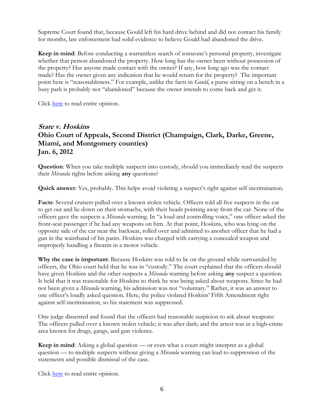Supreme Court found that, because Gould left his hard drive behind and did not contact his family for months, law enforcement had solid evidence to believe Gould had abandoned the drive.

**Keep in mind**: Before conducting a warrantless search of someone's personal property, investigate whether that person abandoned the property. How long has the owner been without possession of the property? Has anyone made contact with the owner? If any, how long ago was the contact made? Has the owner given any indication that he would return for the property? The important point here is "reasonableness." For example, unlike the facts in *Gould*, a purse sitting on a bench in a busy park is probably not "abandoned" because the owner intends to come back and get it.

Click [here](http://www.supremecourtofohio.gov/rod/docs/pdf/0/2012/2012-ohio-71.pdf) to read entire opinion.

### **State v. Hoskins Ohio Court of Appeals, Second District (Champaign, Clark, Darke, Greene, Miami, and Montgomery counties) Jan. 6, 2012**

**Question**: When you take multiple suspects into custody, should you immediately read the suspects their *Miranda* rights before asking **any** questions?

**Quick answer**: Yes, probably. This helps avoid violating a suspect's right against self-incrimination.

**Facts**: Several cruisers pulled over a known stolen vehicle. Officers told all five suspects in the car to get out and lie down on their stomachs, with their heads pointing away from the car. None of the officers gave the suspects a *Miranda* warning. In "a loud and controlling voice," one officer asked the front-seat passenger if he had any weapons on him. At that point, Hoskins, who was lying on the opposite side of the car near the backseat, rolled over and admitted to another officer that he had a gun in the waistband of his pants. Hoskins was charged with carrying a concealed weapon and improperly handling a firearm in a motor vehicle.

**Why the case is important**: Because Hoskins was told to lie on the ground while surrounded by officers, the Ohio court held that he was in "custody." The court explained that the officers should have given Hoskins and the other suspects a *Miranda* warning before asking **any** suspect a question. It held that it was reasonable for Hoskins to think he was being asked about weapons. Since he had not been given a *Miranda* warning, his admission was not "voluntary." Rather, it was an answer to one officer's loudly asked question. Here, the police violated Hoskins' Fifth Amendment right against self-incrimination, so his statement was suppressed.

One judge dissented and found that the officers had reasonable suspicion to ask about weapons: The officers pulled over a known stolen vehicle; it was after dark; and the arrest was in a high-crime area known for drugs, gangs, and gun violence.

**Keep in mind**: Asking a global question — or even what a court might interpret as a global question — to multiple suspects without giving a *Miranda* warning can lead to suppression of the statements and possible dismissal of the case.

Click [here](http://www.supremecourtofohio.gov/rod/docs/pdf/2/2012/2012-ohio-25.pdf) to read entire opinion.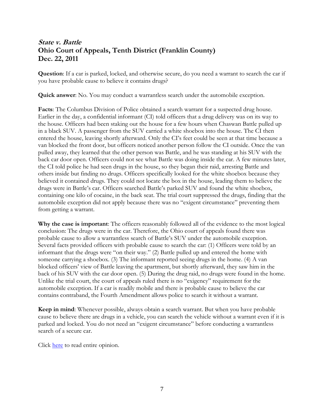### **State v. Battle Ohio Court of Appeals, Tenth District (Franklin County) Dec. 22, 2011**

**Question**: If a car is parked, locked, and otherwise secure, do you need a warrant to search the car if you have probable cause to believe it contains drugs?

**Quick answer**: No. You may conduct a warrantless search under the automobile exception.

**Facts**: The Columbus Division of Police obtained a search warrant for a suspected drug house. Earlier in the day, a confidential informant (CI) told officers that a drug delivery was on its way to the house. Officers had been staking out the house for a few hours when Chaswan Battle pulled up in a black SUV. A passenger from the SUV carried a white shoebox into the house. The CI then entered the house, leaving shortly afterward. Only the CI's feet could be seen at that time because a van blocked the front door, but officers noticed another person follow the CI outside. Once the van pulled away, they learned that the other person was Battle, and he was standing at his SUV with the back car door open. Officers could not see what Battle was doing inside the car. A few minutes later, the CI told police he had seen drugs in the house, so they began their raid, arresting Battle and others inside but finding no drugs. Officers specifically looked for the white shoebox because they believed it contained drugs. They could not locate the box in the house, leading them to believe the drugs were in Battle's car. Officers searched Battle's parked SUV and found the white shoebox, containing one kilo of cocaine, in the back seat. The trial court suppressed the drugs, finding that the automobile exception did not apply because there was no "exigent circumstance" preventing them from getting a warrant.

**Why the case is important**: The officers reasonably followed all of the evidence to the most logical conclusion: The drugs were in the car. Therefore, the Ohio court of appeals found there was probable cause to allow a warrantless search of Battle's SUV under the automobile exception. Several facts provided officers with probable cause to search the car: (1) Officers were told by an informant that the drugs were "on their way." (2) Battle pulled up and entered the home with someone carrying a shoebox. (3) The informant reported seeing drugs in the home. (4) A van blocked officers' view of Battle leaving the apartment, but shortly afterward, they saw him in the back of his SUV with the car door open. (5) During the drug raid, no drugs were found in the home. Unlike the trial court, the court of appeals ruled there is no "exigency" requirement for the automobile exception. If a car is readily mobile and there is probable cause to believe the car contains contraband, the Fourth Amendment allows police to search it without a warrant.

**Keep in mind**: Whenever possible, always obtain a search warrant. But when you have probable cause to believe there are drugs in a vehicle, you can search the vehicle without a warrant even if it is parked and locked. You do not need an "exigent circumstance" before conducting a warrantless search of a secure car.

Click [here](http://www.supremecourtofohio.gov/rod/docs/pdf/10/2011/2011-ohio-6661.pdf) to read entire opinion.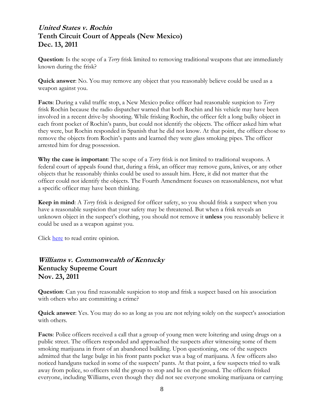#### **United States v. Rochin Tenth Circuit Court of Appeals (New Mexico) Dec. 13, 2011**

**Question**: Is the scope of a *Terry* frisk limited to removing traditional weapons that are immediately known during the frisk?

**Quick answer**: No. You may remove any object that you reasonably believe could be used as a weapon against you.

**Facts**: During a valid traffic stop, a New Mexico police officer had reasonable suspicion to *Terry* frisk Rochin because the radio dispatcher warned that both Rochin and his vehicle may have been involved in a recent drive-by shooting. While frisking Rochin, the officer felt a long bulky object in each front pocket of Rochin's pants, but could not identify the objects. The officer asked him what they were, but Rochin responded in Spanish that he did not know. At that point, the officer chose to remove the objects from Rochin's pants and learned they were glass smoking pipes. The officer arrested him for drug possession.

**Why the case is important**: The scope of a *Terry* frisk is not limited to traditional weapons. A federal court of appeals found that, during a frisk, an officer may remove guns, knives, or any other objects that he reasonably thinks could be used to assault him. Here, it did not matter that the officer could not identify the objects. The Fourth Amendment focuses on reasonableness, not what a specific officer may have been thinking.

**Keep in mind**: A *Terry* frisk is designed for officer safety, so you should frisk a suspect when you have a reasonable suspicion that your safety may be threatened. But when a frisk reveals an unknown object in the suspect's clothing, you should not remove it **unless** you reasonably believe it could be used as a weapon against you.

Click [here](http://www.ca10.uscourts.gov/opinions/11/11-2024.pdf) to read entire opinion.

#### **Williams v. Commonwealth of Kentucky Kentucky Supreme Court Nov. 23, 2011**

**Question**: Can you find reasonable suspicion to stop and frisk a suspect based on his association with others who are committing a crime?

**Quick answer**: Yes. You may do so as long as you are not relying solely on the suspect's association with others.

**Facts**: Police officers received a call that a group of young men were loitering and using drugs on a public street. The officers responded and approached the suspects after witnessing some of them smoking marijuana in front of an abandoned building. Upon questioning, one of the suspects admitted that the large bulge in his front pants pocket was a bag of marijuana. A few officers also noticed handguns tucked in some of the suspects' pants. At that point, a few suspects tried to walk away from police, so officers told the group to stop and lie on the ground. The officers frisked everyone, including Williams, even though they did not see everyone smoking marijuana or carrying